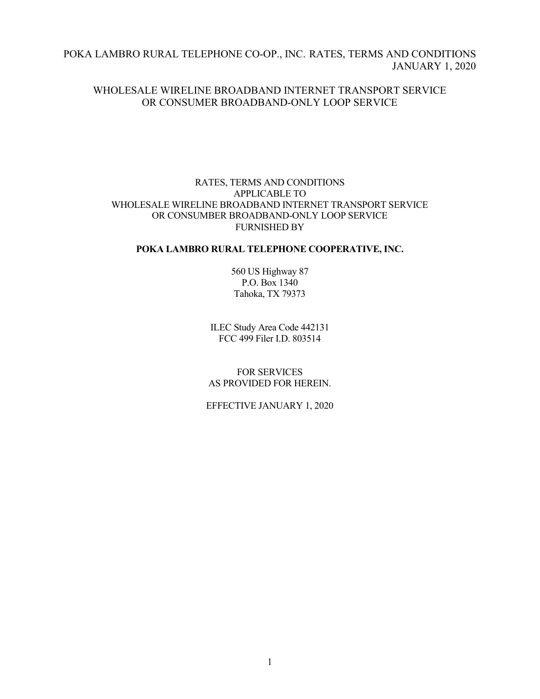## WHOLESALE WIRELINE BROADBAND INTERNET TRANSPORT SERVICE OR CONSUMER BROADBAND-ONLY LOOP SERVICE

## RATES, TERMS AND CONDITIONS APPLICABLE TO WHOLESALE WIRELINE BROADBAND INTERNET TRANSPORT SERVICE OR CONSUMBER BROADBAND-ONLY LOOP SERVICE FURNISHED BY

# **POKA LAMBRO RURAL TELEPHONE COOPERATIVE, INC.**

560 US Highway 87 P.O. Box 1340 Tahoka, TX 79373

ILEC Study Area Code 442131 FCC 499 Filer I.D. 803514

FOR SERVICES AS PROVIDED FOR HEREIN.

EFFECTIVE JANUARY 1, 2020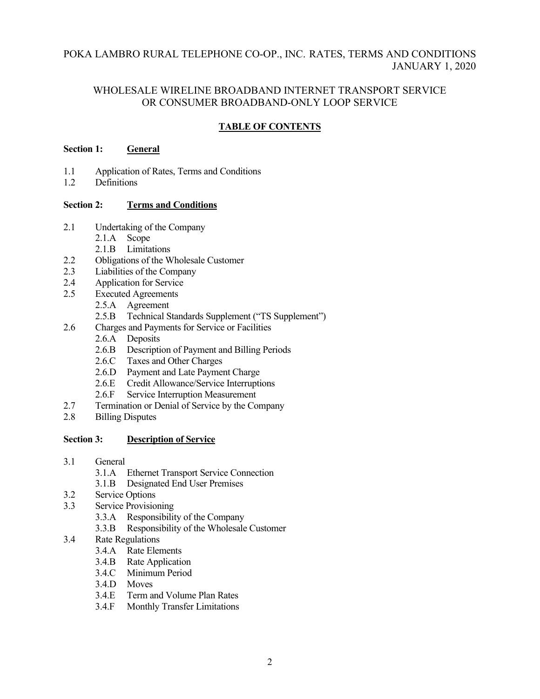# WHOLESALE WIRELINE BROADBAND INTERNET TRANSPORT SERVICE OR CONSUMER BROADBAND-ONLY LOOP SERVICE

# **TABLE OF CONTENTS**

## **Section 1: General**

- 1.1 Application of Rates, Terms and Conditions<br>1.2 Definitions
- Definitions

## **Section 2: Terms and Conditions**

- 2.1 Undertaking of the Company
	- 2.1.A Scope
	- 2.1.B Limitations
- 2.2 Obligations of the Wholesale Customer
- 2.3 Liabilities of the Company
- 2.4 Application for Service<br>2.5 Executed Agreements
- Executed Agreements
	- 2.5.A Agreement
	- 2.5.B Technical Standards Supplement ("TS Supplement")
- 2.6 Charges and Payments for Service or Facilities
	- 2.6.A Deposits
	- 2.6.B Description of Payment and Billing Periods
	- 2.6.C Taxes and Other Charges
	- 2.6.D Payment and Late Payment Charge
	- 2.6.E Credit Allowance/Service Interruptions
	- 2.6.F Service Interruption Measurement
- 2.7 Termination or Denial of Service by the Company
- 2.8 Billing Disputes

## **Section 3: Description of Service**

- 3.1 General
	- 3.1.A Ethernet Transport Service Connection
	- 3.1.B Designated End User Premises
- 3.2 Service Options
- 3.3 Service Provisioning
	- 3.3.A Responsibility of the Company
	- 3.3.B Responsibility of the Wholesale Customer
- 3.4 Rate Regulations
	- 3.4.A Rate Elements
	- 3.4.B Rate Application
	- 3.4.C Minimum Period
	- 3.4.D Moves
	- 3.4.E Term and Volume Plan Rates
	- 3.4.F Monthly Transfer Limitations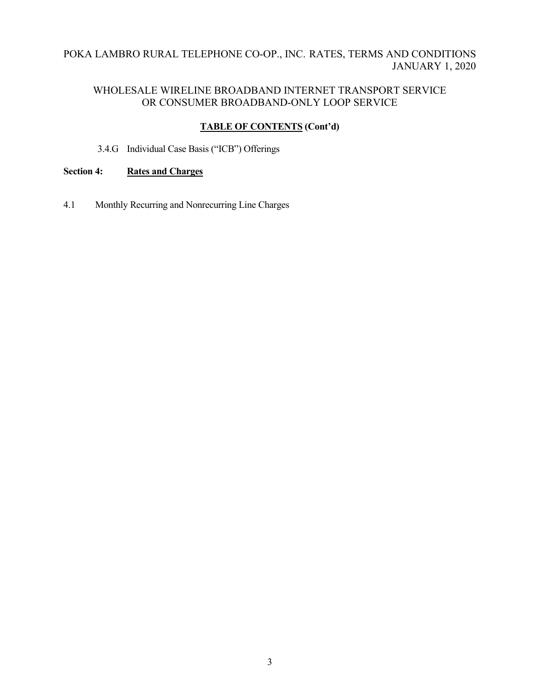# WHOLESALE WIRELINE BROADBAND INTERNET TRANSPORT SERVICE OR CONSUMER BROADBAND-ONLY LOOP SERVICE

# **TABLE OF CONTENTS (Cont'd)**

# 3.4.G Individual Case Basis ("ICB") Offerings

# **Section 4: Rates and Charges**

4.1 Monthly Recurring and Nonrecurring Line Charges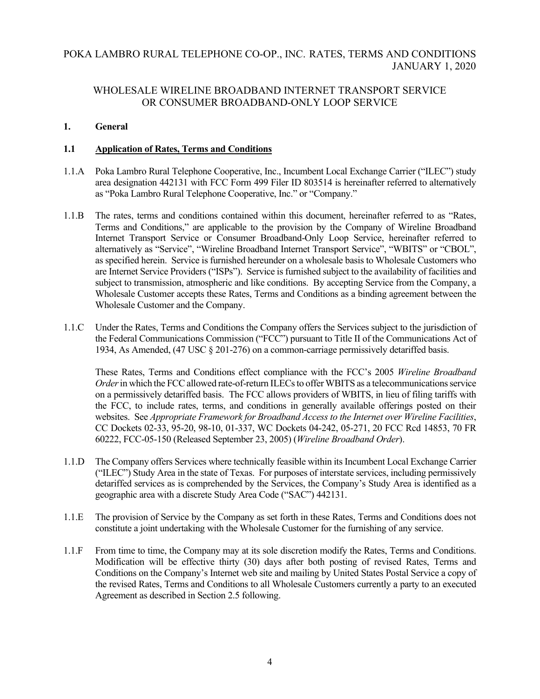# WHOLESALE WIRELINE BROADBAND INTERNET TRANSPORT SERVICE OR CONSUMER BROADBAND-ONLY LOOP SERVICE

## **1. General**

## **1.1 Application of Rates, Terms and Conditions**

- 1.1.A Poka Lambro Rural Telephone Cooperative, Inc., Incumbent Local Exchange Carrier ("ILEC") study area designation 442131 with FCC Form 499 Filer ID 803514 is hereinafter referred to alternatively as "Poka Lambro Rural Telephone Cooperative, Inc." or "Company."
- 1.1.B The rates, terms and conditions contained within this document, hereinafter referred to as "Rates, Terms and Conditions," are applicable to the provision by the Company of Wireline Broadband Internet Transport Service or Consumer Broadband-Only Loop Service, hereinafter referred to alternatively as "Service", "Wireline Broadband Internet Transport Service", "WBITS" or "CBOL", as specified herein. Service is furnished hereunder on a wholesale basis to Wholesale Customers who are Internet Service Providers ("ISPs"). Service is furnished subject to the availability of facilities and subject to transmission, atmospheric and like conditions. By accepting Service from the Company, a Wholesale Customer accepts these Rates, Terms and Conditions as a binding agreement between the Wholesale Customer and the Company.
- 1.1.C Under the Rates, Terms and Conditions the Company offers the Services subject to the jurisdiction of the Federal Communications Commission ("FCC") pursuant to Title II of the Communications Act of 1934, As Amended, (47 USC § 201-276) on a common-carriage permissively detariffed basis.

These Rates, Terms and Conditions effect compliance with the FCC's 2005 *Wireline Broadband Order* in which the FCC allowed rate-of-return ILECs to offer WBITS as a telecommunications service on a permissively detariffed basis. The FCC allows providers of WBITS, in lieu of filing tariffs with the FCC, to include rates, terms, and conditions in generally available offerings posted on their websites. See *Appropriate Framework for Broadband Access to the Internet over Wireline Facilities*, CC Dockets 02-33, 95-20, 98-10, 01-337, WC Dockets 04-242, 05-271, 20 FCC Rcd 14853, 70 FR 60222, FCC-05-150 (Released September 23, 2005) (*Wireline Broadband Order*).

- 1.1.D The Company offers Services where technically feasible within its Incumbent Local Exchange Carrier ("ILEC") Study Area in the state of Texas. For purposes of interstate services, including permissively detariffed services as is comprehended by the Services, the Company's Study Area is identified as a geographic area with a discrete Study Area Code ("SAC") 442131.
- 1.1.E The provision of Service by the Company as set forth in these Rates, Terms and Conditions does not constitute a joint undertaking with the Wholesale Customer for the furnishing of any service.
- 1.1.F From time to time, the Company may at its sole discretion modify the Rates, Terms and Conditions. Modification will be effective thirty (30) days after both posting of revised Rates, Terms and Conditions on the Company's Internet web site and mailing by United States Postal Service a copy of the revised Rates, Terms and Conditions to all Wholesale Customers currently a party to an executed Agreement as described in Section 2.5 following.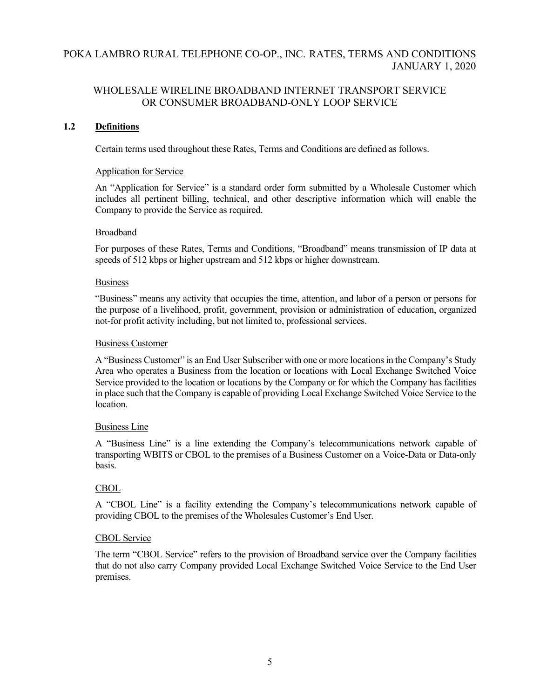# WHOLESALE WIRELINE BROADBAND INTERNET TRANSPORT SERVICE OR CONSUMER BROADBAND-ONLY LOOP SERVICE

## **1.2 Definitions**

Certain terms used throughout these Rates, Terms and Conditions are defined as follows.

#### Application for Service

An "Application for Service" is a standard order form submitted by a Wholesale Customer which includes all pertinent billing, technical, and other descriptive information which will enable the Company to provide the Service as required.

#### Broadband

For purposes of these Rates, Terms and Conditions, "Broadband" means transmission of IP data at speeds of 512 kbps or higher upstream and 512 kbps or higher downstream.

#### Business

"Business" means any activity that occupies the time, attention, and labor of a person or persons for the purpose of a livelihood, profit, government, provision or administration of education, organized not-for profit activity including, but not limited to, professional services.

#### Business Customer

A "Business Customer" is an End User Subscriber with one or more locations in the Company's Study Area who operates a Business from the location or locations with Local Exchange Switched Voice Service provided to the location or locations by the Company or for which the Company has facilities in place such that the Company is capable of providing Local Exchange Switched Voice Service to the location.

## Business Line

A "Business Line" is a line extending the Company's telecommunications network capable of transporting WBITS or CBOL to the premises of a Business Customer on a Voice-Data or Data-only basis.

## CBOL

A "CBOL Line" is a facility extending the Company's telecommunications network capable of providing CBOL to the premises of the Wholesales Customer's End User.

## CBOL Service

The term "CBOL Service" refers to the provision of Broadband service over the Company facilities that do not also carry Company provided Local Exchange Switched Voice Service to the End User premises.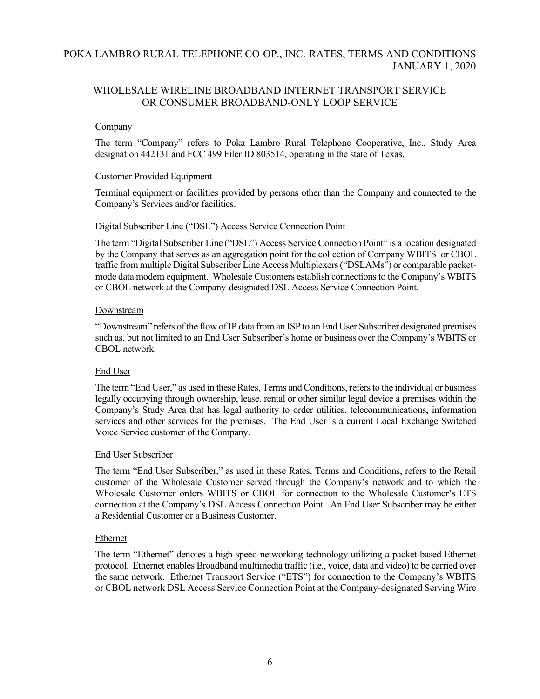# WHOLESALE WIRELINE BROADBAND INTERNET TRANSPORT SERVICE OR CONSUMER BROADBAND-ONLY LOOP SERVICE

## **Company**

The term "Company" refers to Poka Lambro Rural Telephone Cooperative, Inc., Study Area designation 442131 and FCC 499 Filer ID 803514, operating in the state of Texas.

## Customer Provided Equipment

Terminal equipment or facilities provided by persons other than the Company and connected to the Company's Services and/or facilities.

## Digital Subscriber Line ("DSL") Access Service Connection Point

The term "Digital Subscriber Line ("DSL") Access Service Connection Point" is a location designated by the Company that serves as an aggregation point for the collection of Company WBITS or CBOL traffic from multiple Digital Subscriber Line Access Multiplexers ("DSLAMs") or comparable packetmode data modem equipment. Wholesale Customers establish connections to the Company's WBITS or CBOL network at the Company-designated DSL Access Service Connection Point.

## Downstream

"Downstream" refers of the flow of IP data from an ISP to an End User Subscriber designated premises such as, but not limited to an End User Subscriber's home or business over the Company's WBITS or CBOL network.

## End User

The term "End User," as used in these Rates, Terms and Conditions, refers to the individual or business legally occupying through ownership, lease, rental or other similar legal device a premises within the Company's Study Area that has legal authority to order utilities, telecommunications, information services and other services for the premises. The End User is a current Local Exchange Switched Voice Service customer of the Company.

## End User Subscriber

The term "End User Subscriber," as used in these Rates, Terms and Conditions, refers to the Retail customer of the Wholesale Customer served through the Company's network and to which the Wholesale Customer orders WBITS or CBOL for connection to the Wholesale Customer's ETS connection at the Company's DSL Access Connection Point. An End User Subscriber may be either a Residential Customer or a Business Customer.

## Ethernet

The term "Ethernet" denotes a high-speed networking technology utilizing a packet-based Ethernet protocol. Ethernet enables Broadband multimedia traffic (i.e., voice, data and video) to be carried over the same network. Ethernet Transport Service ("ETS") for connection to the Company's WBITS or CBOL network DSL Access Service Connection Point at the Company-designated Serving Wire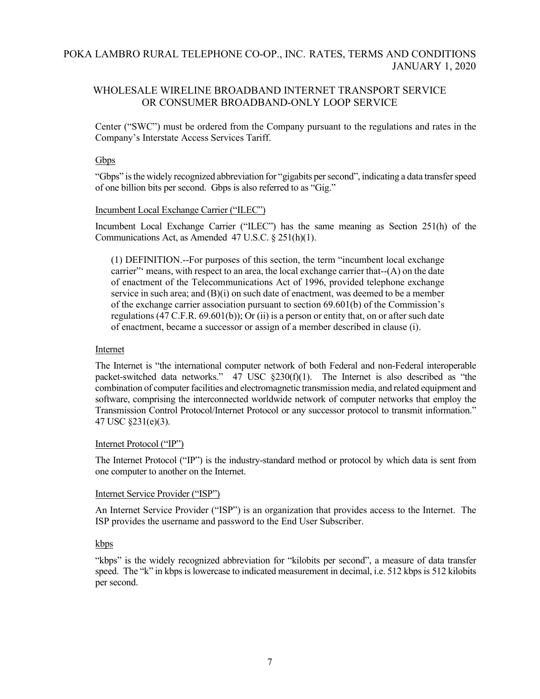## WHOLESALE WIRELINE BROADBAND INTERNET TRANSPORT SERVICE OR CONSUMER BROADBAND-ONLY LOOP SERVICE

Center ("SWC") must be ordered from the Company pursuant to the regulations and rates in the Company's Interstate Access Services Tariff.

## **Gbps**

"Gbps" is the widely recognized abbreviation for "gigabits per second", indicating a data transfer speed of one billion bits per second. Gbps is also referred to as "Gig."

## Incumbent Local Exchange Carrier ("ILEC")

Incumbent Local Exchange Carrier ("ILEC") has the same meaning as Section 251(h) of the Communications Act, as Amended 47 U.S.C. § 251(h)(1).

(1) DEFINITION.--For purposes of this section, the term "incumbent local exchange carrier"' means, with respect to an area, the local exchange carrier that--(A) on the date of enactment of the Telecommunications Act of 1996, provided telephone exchange service in such area; and (B)(i) on such date of enactment, was deemed to be a member of the exchange carrier association pursuant to section 69.601(b) of the Commission's regulations (47 C.F.R. 69.601(b)); Or (ii) is a person or entity that, on or after such date of enactment, became a successor or assign of a member described in clause (i).

## Internet

The Internet is "the international computer network of both Federal and non-Federal interoperable packet-switched data networks." 47 USC  $\S 230(f)(1)$ . The Internet is also described as "the combination of computer facilities and electromagnetic transmission media, and related equipment and software, comprising the interconnected worldwide network of computer networks that employ the Transmission Control Protocol/Internet Protocol or any successor protocol to transmit information." 47 USC §231(e)(3).

## Internet Protocol ("IP")

The Internet Protocol ("IP") is the industry-standard method or protocol by which data is sent from one computer to another on the Internet.

## Internet Service Provider ("ISP")

An Internet Service Provider ("ISP") is an organization that provides access to the Internet. The ISP provides the username and password to the End User Subscriber.

## kbps

"kbps" is the widely recognized abbreviation for "kilobits per second", a measure of data transfer speed. The "k" in kbps is lowercase to indicated measurement in decimal, i.e. 512 kbps is 512 kilobits per second.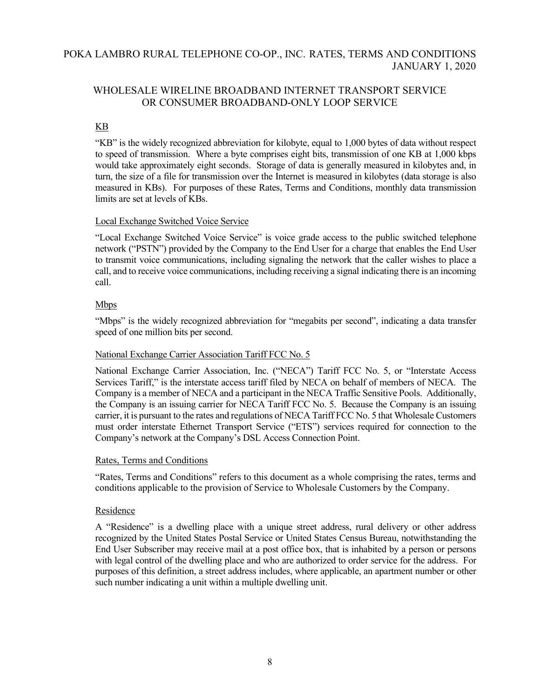# WHOLESALE WIRELINE BROADBAND INTERNET TRANSPORT SERVICE OR CONSUMER BROADBAND-ONLY LOOP SERVICE

# KB

"KB" is the widely recognized abbreviation for kilobyte, equal to 1,000 bytes of data without respect to speed of transmission. Where a byte comprises eight bits, transmission of one KB at 1,000 kbps would take approximately eight seconds. Storage of data is generally measured in kilobytes and, in turn, the size of a file for transmission over the Internet is measured in kilobytes (data storage is also measured in KBs). For purposes of these Rates, Terms and Conditions, monthly data transmission limits are set at levels of KBs.

## Local Exchange Switched Voice Service

"Local Exchange Switched Voice Service" is voice grade access to the public switched telephone network ("PSTN") provided by the Company to the End User for a charge that enables the End User to transmit voice communications, including signaling the network that the caller wishes to place a call, and to receive voice communications, including receiving a signal indicating there is an incoming call.

## Mbps

"Mbps" is the widely recognized abbreviation for "megabits per second", indicating a data transfer speed of one million bits per second.

## National Exchange Carrier Association Tariff FCC No. 5

National Exchange Carrier Association, Inc. ("NECA") Tariff FCC No. 5, or "Interstate Access Services Tariff," is the interstate access tariff filed by NECA on behalf of members of NECA. The Company is a member of NECA and a participant in the NECA Traffic Sensitive Pools. Additionally, the Company is an issuing carrier for NECA Tariff FCC No. 5. Because the Company is an issuing carrier, it is pursuant to the rates and regulations of NECA Tariff FCC No. 5 that Wholesale Customers must order interstate Ethernet Transport Service ("ETS") services required for connection to the Company's network at the Company's DSL Access Connection Point.

## Rates, Terms and Conditions

"Rates, Terms and Conditions" refers to this document as a whole comprising the rates, terms and conditions applicable to the provision of Service to Wholesale Customers by the Company.

## Residence

A "Residence" is a dwelling place with a unique street address, rural delivery or other address recognized by the United States Postal Service or United States Census Bureau, notwithstanding the End User Subscriber may receive mail at a post office box, that is inhabited by a person or persons with legal control of the dwelling place and who are authorized to order service for the address. For purposes of this definition, a street address includes, where applicable, an apartment number or other such number indicating a unit within a multiple dwelling unit.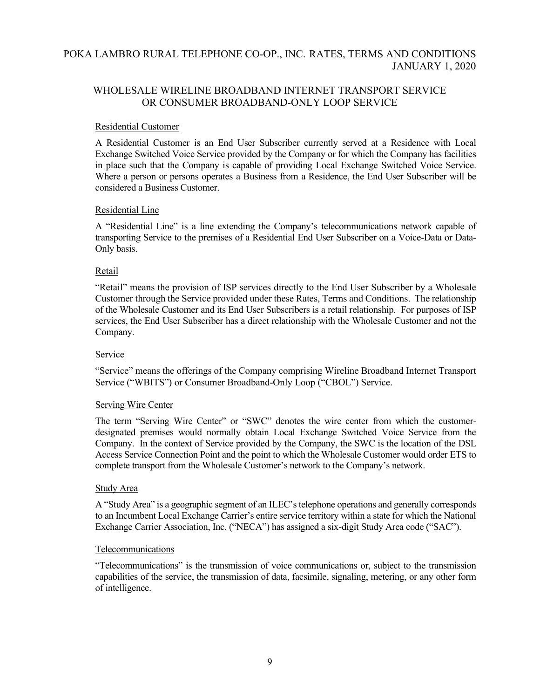# WHOLESALE WIRELINE BROADBAND INTERNET TRANSPORT SERVICE OR CONSUMER BROADBAND-ONLY LOOP SERVICE

## Residential Customer

A Residential Customer is an End User Subscriber currently served at a Residence with Local Exchange Switched Voice Service provided by the Company or for which the Company has facilities in place such that the Company is capable of providing Local Exchange Switched Voice Service. Where a person or persons operates a Business from a Residence, the End User Subscriber will be considered a Business Customer.

## Residential Line

A "Residential Line" is a line extending the Company's telecommunications network capable of transporting Service to the premises of a Residential End User Subscriber on a Voice-Data or Data-Only basis.

## Retail

"Retail" means the provision of ISP services directly to the End User Subscriber by a Wholesale Customer through the Service provided under these Rates, Terms and Conditions. The relationship of the Wholesale Customer and its End User Subscribers is a retail relationship. For purposes of ISP services, the End User Subscriber has a direct relationship with the Wholesale Customer and not the Company.

## Service

"Service" means the offerings of the Company comprising Wireline Broadband Internet Transport Service ("WBITS") or Consumer Broadband-Only Loop ("CBOL") Service.

## Serving Wire Center

The term "Serving Wire Center" or "SWC" denotes the wire center from which the customerdesignated premises would normally obtain Local Exchange Switched Voice Service from the Company. In the context of Service provided by the Company, the SWC is the location of the DSL Access Service Connection Point and the point to which the Wholesale Customer would order ETS to complete transport from the Wholesale Customer's network to the Company's network.

## Study Area

A "Study Area" is a geographic segment of an ILEC's telephone operations and generally corresponds to an Incumbent Local Exchange Carrier's entire service territory within a state for which the National Exchange Carrier Association, Inc. ("NECA") has assigned a six-digit Study Area code ("SAC").

## Telecommunications

"Telecommunications" is the transmission of voice communications or, subject to the transmission capabilities of the service, the transmission of data, facsimile, signaling, metering, or any other form of intelligence.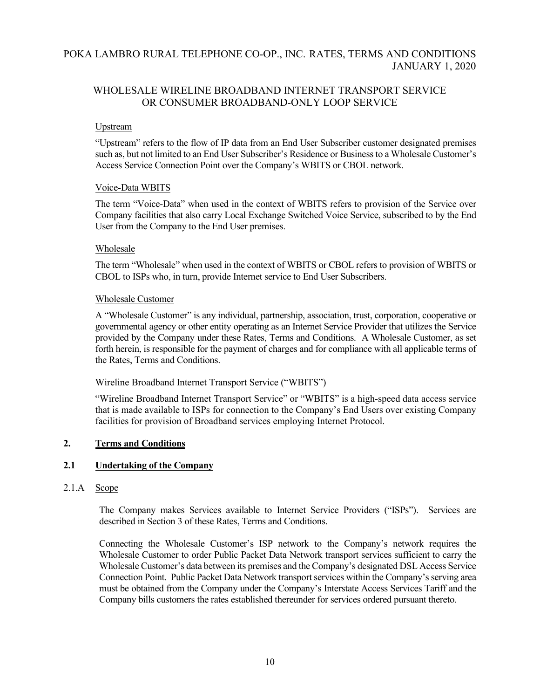# WHOLESALE WIRELINE BROADBAND INTERNET TRANSPORT SERVICE OR CONSUMER BROADBAND-ONLY LOOP SERVICE

## Upstream

"Upstream" refers to the flow of IP data from an End User Subscriber customer designated premises such as, but not limited to an End User Subscriber's Residence or Business to a Wholesale Customer's Access Service Connection Point over the Company's WBITS or CBOL network.

## Voice-Data WBITS

The term "Voice-Data" when used in the context of WBITS refers to provision of the Service over Company facilities that also carry Local Exchange Switched Voice Service, subscribed to by the End User from the Company to the End User premises.

## Wholesale

The term "Wholesale" when used in the context of WBITS or CBOL refers to provision of WBITS or CBOL to ISPs who, in turn, provide Internet service to End User Subscribers.

## Wholesale Customer

A "Wholesale Customer" is any individual, partnership, association, trust, corporation, cooperative or governmental agency or other entity operating as an Internet Service Provider that utilizes the Service provided by the Company under these Rates, Terms and Conditions. A Wholesale Customer, as set forth herein, is responsible for the payment of charges and for compliance with all applicable terms of the Rates, Terms and Conditions.

## Wireline Broadband Internet Transport Service ("WBITS")

"Wireline Broadband Internet Transport Service" or "WBITS" is a high-speed data access service that is made available to ISPs for connection to the Company's End Users over existing Company facilities for provision of Broadband services employing Internet Protocol.

## **2. Terms and Conditions**

## **2.1 Undertaking of the Company**

## 2.1.A Scope

The Company makes Services available to Internet Service Providers ("ISPs"). Services are described in Section 3 of these Rates, Terms and Conditions.

Connecting the Wholesale Customer's ISP network to the Company's network requires the Wholesale Customer to order Public Packet Data Network transport services sufficient to carry the Wholesale Customer's data between its premises and the Company's designated DSL Access Service Connection Point. Public Packet Data Network transport services within the Company's serving area must be obtained from the Company under the Company's Interstate Access Services Tariff and the Company bills customers the rates established thereunder for services ordered pursuant thereto.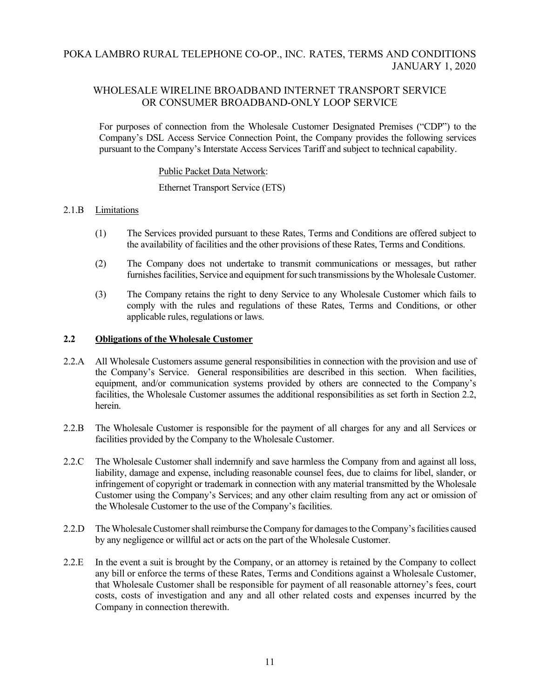# WHOLESALE WIRELINE BROADBAND INTERNET TRANSPORT SERVICE OR CONSUMER BROADBAND-ONLY LOOP SERVICE

For purposes of connection from the Wholesale Customer Designated Premises ("CDP") to the Company's DSL Access Service Connection Point, the Company provides the following services pursuant to the Company's Interstate Access Services Tariff and subject to technical capability.

## Public Packet Data Network:

## Ethernet Transport Service (ETS)

## 2.1.B Limitations

- (1) The Services provided pursuant to these Rates, Terms and Conditions are offered subject to the availability of facilities and the other provisions of these Rates, Terms and Conditions.
- (2) The Company does not undertake to transmit communications or messages, but rather furnishes facilities, Service and equipment for such transmissions by the Wholesale Customer.
- (3) The Company retains the right to deny Service to any Wholesale Customer which fails to comply with the rules and regulations of these Rates, Terms and Conditions, or other applicable rules, regulations or laws.

## **2.2 Obligations of the Wholesale Customer**

- 2.2.A All Wholesale Customers assume general responsibilities in connection with the provision and use of the Company's Service. General responsibilities are described in this section. When facilities, equipment, and/or communication systems provided by others are connected to the Company's facilities, the Wholesale Customer assumes the additional responsibilities as set forth in Section 2.2, herein.
- 2.2.B The Wholesale Customer is responsible for the payment of all charges for any and all Services or facilities provided by the Company to the Wholesale Customer.
- 2.2.C The Wholesale Customer shall indemnify and save harmless the Company from and against all loss, liability, damage and expense, including reasonable counsel fees, due to claims for libel, slander, or infringement of copyright or trademark in connection with any material transmitted by the Wholesale Customer using the Company's Services; and any other claim resulting from any act or omission of the Wholesale Customer to the use of the Company's facilities.
- 2.2.D The Wholesale Customershall reimburse the Company for damages to the Company's facilities caused by any negligence or willful act or acts on the part of the Wholesale Customer.
- 2.2.E In the event a suit is brought by the Company, or an attorney is retained by the Company to collect any bill or enforce the terms of these Rates, Terms and Conditions against a Wholesale Customer, that Wholesale Customer shall be responsible for payment of all reasonable attorney's fees, court costs, costs of investigation and any and all other related costs and expenses incurred by the Company in connection therewith.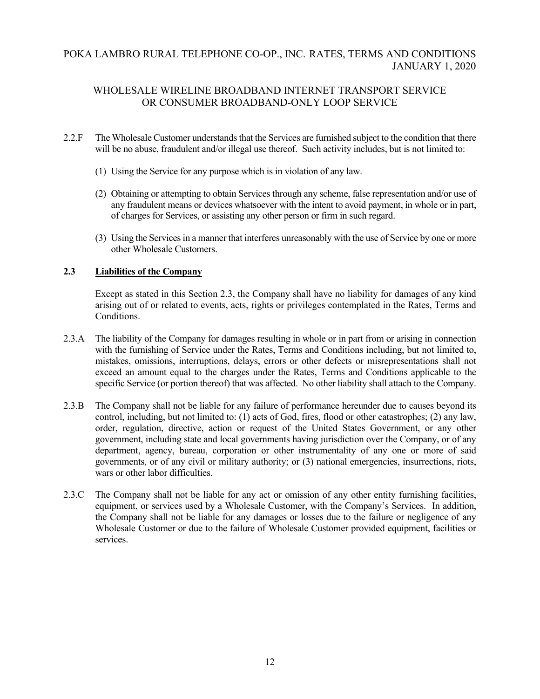# WHOLESALE WIRELINE BROADBAND INTERNET TRANSPORT SERVICE OR CONSUMER BROADBAND-ONLY LOOP SERVICE

- 2.2.F The Wholesale Customer understands that the Services are furnished subject to the condition that there will be no abuse, fraudulent and/or illegal use thereof. Such activity includes, but is not limited to:
	- (1) Using the Service for any purpose which is in violation of any law.
	- (2) Obtaining or attempting to obtain Services through any scheme, false representation and/or use of any fraudulent means or devices whatsoever with the intent to avoid payment, in whole or in part, of charges for Services, or assisting any other person or firm in such regard.
	- (3) Using the Services in a manner that interferes unreasonably with the use of Service by one or more other Wholesale Customers.

## **2.3 Liabilities of the Company**

Except as stated in this Section 2.3, the Company shall have no liability for damages of any kind arising out of or related to events, acts, rights or privileges contemplated in the Rates, Terms and Conditions.

- 2.3.A The liability of the Company for damages resulting in whole or in part from or arising in connection with the furnishing of Service under the Rates, Terms and Conditions including, but not limited to, mistakes, omissions, interruptions, delays, errors or other defects or misrepresentations shall not exceed an amount equal to the charges under the Rates, Terms and Conditions applicable to the specific Service (or portion thereof) that was affected. No other liability shall attach to the Company.
- 2.3.B The Company shall not be liable for any failure of performance hereunder due to causes beyond its control, including, but not limited to: (1) acts of God, fires, flood or other catastrophes; (2) any law, order, regulation, directive, action or request of the United States Government, or any other government, including state and local governments having jurisdiction over the Company, or of any department, agency, bureau, corporation or other instrumentality of any one or more of said governments, or of any civil or military authority; or (3) national emergencies, insurrections, riots, wars or other labor difficulties.
- 2.3.C The Company shall not be liable for any act or omission of any other entity furnishing facilities, equipment, or services used by a Wholesale Customer, with the Company's Services. In addition, the Company shall not be liable for any damages or losses due to the failure or negligence of any Wholesale Customer or due to the failure of Wholesale Customer provided equipment, facilities or services.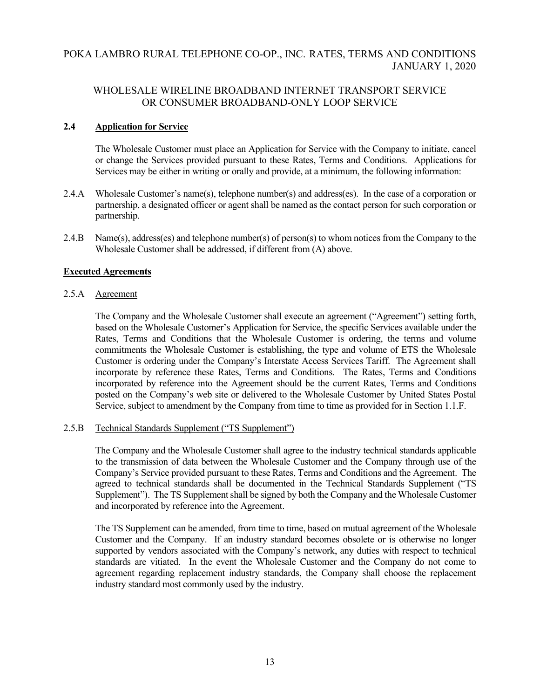# WHOLESALE WIRELINE BROADBAND INTERNET TRANSPORT SERVICE OR CONSUMER BROADBAND-ONLY LOOP SERVICE

## **2.4 Application for Service**

The Wholesale Customer must place an Application for Service with the Company to initiate, cancel or change the Services provided pursuant to these Rates, Terms and Conditions. Applications for Services may be either in writing or orally and provide, at a minimum, the following information:

- 2.4.A Wholesale Customer's name(s), telephone number(s) and address(es). In the case of a corporation or partnership, a designated officer or agent shall be named as the contact person for such corporation or partnership.
- 2.4.B Name(s), address(es) and telephone number(s) of person(s) to whom notices from the Company to the Wholesale Customer shall be addressed, if different from (A) above.

## **Executed Agreements**

2.5.A Agreement

The Company and the Wholesale Customer shall execute an agreement ("Agreement") setting forth, based on the Wholesale Customer's Application for Service, the specific Services available under the Rates, Terms and Conditions that the Wholesale Customer is ordering, the terms and volume commitments the Wholesale Customer is establishing, the type and volume of ETS the Wholesale Customer is ordering under the Company's Interstate Access Services Tariff. The Agreement shall incorporate by reference these Rates, Terms and Conditions. The Rates, Terms and Conditions incorporated by reference into the Agreement should be the current Rates, Terms and Conditions posted on the Company's web site or delivered to the Wholesale Customer by United States Postal Service, subject to amendment by the Company from time to time as provided for in Section 1.1.F.

## 2.5.B Technical Standards Supplement ("TS Supplement")

The Company and the Wholesale Customer shall agree to the industry technical standards applicable to the transmission of data between the Wholesale Customer and the Company through use of the Company's Service provided pursuant to these Rates, Terms and Conditions and the Agreement. The agreed to technical standards shall be documented in the Technical Standards Supplement ("TS Supplement"). The TS Supplement shall be signed by both the Company and the Wholesale Customer and incorporated by reference into the Agreement.

The TS Supplement can be amended, from time to time, based on mutual agreement of the Wholesale Customer and the Company. If an industry standard becomes obsolete or is otherwise no longer supported by vendors associated with the Company's network, any duties with respect to technical standards are vitiated. In the event the Wholesale Customer and the Company do not come to agreement regarding replacement industry standards, the Company shall choose the replacement industry standard most commonly used by the industry.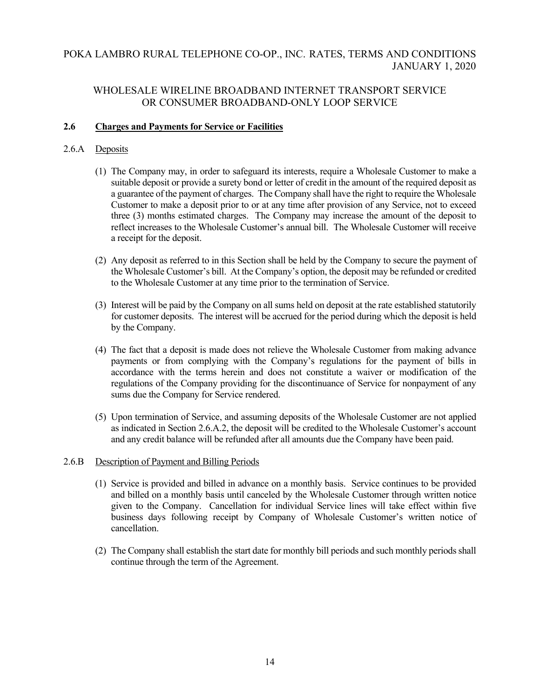# WHOLESALE WIRELINE BROADBAND INTERNET TRANSPORT SERVICE OR CONSUMER BROADBAND-ONLY LOOP SERVICE

## **2.6 Charges and Payments for Service or Facilities**

## 2.6.A Deposits

- (1) The Company may, in order to safeguard its interests, require a Wholesale Customer to make a suitable deposit or provide a surety bond or letter of credit in the amount of the required deposit as a guarantee of the payment of charges. The Company shall have the right to require the Wholesale Customer to make a deposit prior to or at any time after provision of any Service, not to exceed three (3) months estimated charges. The Company may increase the amount of the deposit to reflect increases to the Wholesale Customer's annual bill. The Wholesale Customer will receive a receipt for the deposit.
- (2) Any deposit as referred to in this Section shall be held by the Company to secure the payment of the Wholesale Customer's bill. At the Company's option, the deposit may be refunded or credited to the Wholesale Customer at any time prior to the termination of Service.
- (3) Interest will be paid by the Company on all sums held on deposit at the rate established statutorily for customer deposits. The interest will be accrued for the period during which the deposit is held by the Company.
- (4) The fact that a deposit is made does not relieve the Wholesale Customer from making advance payments or from complying with the Company's regulations for the payment of bills in accordance with the terms herein and does not constitute a waiver or modification of the regulations of the Company providing for the discontinuance of Service for nonpayment of any sums due the Company for Service rendered.
- (5) Upon termination of Service, and assuming deposits of the Wholesale Customer are not applied as indicated in Section 2.6.A.2, the deposit will be credited to the Wholesale Customer's account and any credit balance will be refunded after all amounts due the Company have been paid.

## 2.6.B Description of Payment and Billing Periods

- (1) Service is provided and billed in advance on a monthly basis. Service continues to be provided and billed on a monthly basis until canceled by the Wholesale Customer through written notice given to the Company. Cancellation for individual Service lines will take effect within five business days following receipt by Company of Wholesale Customer's written notice of cancellation.
- (2) The Company shall establish the start date for monthly bill periods and such monthly periods shall continue through the term of the Agreement.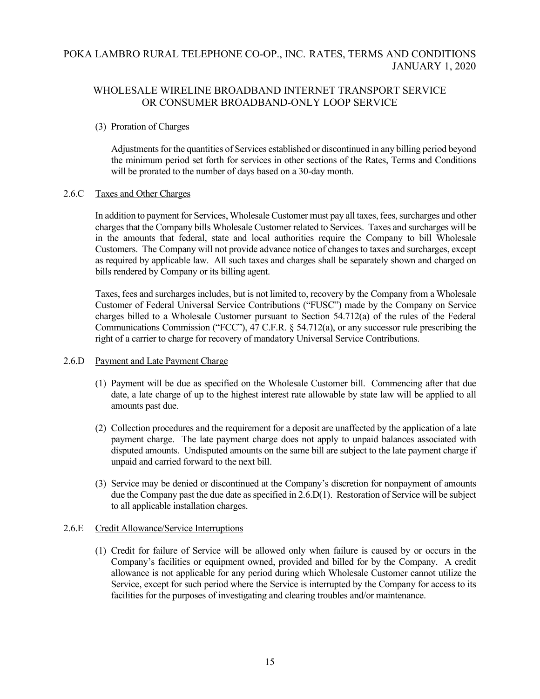# WHOLESALE WIRELINE BROADBAND INTERNET TRANSPORT SERVICE OR CONSUMER BROADBAND-ONLY LOOP SERVICE

## (3) Proration of Charges

Adjustments for the quantities of Services established or discontinued in any billing period beyond the minimum period set forth for services in other sections of the Rates, Terms and Conditions will be prorated to the number of days based on a 30-day month.

## 2.6.C Taxes and Other Charges

In addition to payment for Services, Wholesale Customer must pay all taxes, fees, surcharges and other charges that the Company bills Wholesale Customer related to Services. Taxes and surcharges will be in the amounts that federal, state and local authorities require the Company to bill Wholesale Customers. The Company will not provide advance notice of changes to taxes and surcharges, except as required by applicable law. All such taxes and charges shall be separately shown and charged on bills rendered by Company or its billing agent.

Taxes, fees and surcharges includes, but is not limited to, recovery by the Company from a Wholesale Customer of Federal Universal Service Contributions ("FUSC") made by the Company on Service charges billed to a Wholesale Customer pursuant to Section 54.712(a) of the rules of the Federal Communications Commission ("FCC"), 47 C.F.R. § 54.712(a), or any successor rule prescribing the right of a carrier to charge for recovery of mandatory Universal Service Contributions.

## 2.6.D Payment and Late Payment Charge

- (1) Payment will be due as specified on the Wholesale Customer bill. Commencing after that due date, a late charge of up to the highest interest rate allowable by state law will be applied to all amounts past due.
- (2) Collection procedures and the requirement for a deposit are unaffected by the application of a late payment charge. The late payment charge does not apply to unpaid balances associated with disputed amounts. Undisputed amounts on the same bill are subject to the late payment charge if unpaid and carried forward to the next bill.
- (3) Service may be denied or discontinued at the Company's discretion for nonpayment of amounts due the Company past the due date as specified in 2.6.D(1). Restoration of Service will be subject to all applicable installation charges.

## 2.6.E Credit Allowance/Service Interruptions

(1) Credit for failure of Service will be allowed only when failure is caused by or occurs in the Company's facilities or equipment owned, provided and billed for by the Company. A credit allowance is not applicable for any period during which Wholesale Customer cannot utilize the Service, except for such period where the Service is interrupted by the Company for access to its facilities for the purposes of investigating and clearing troubles and/or maintenance.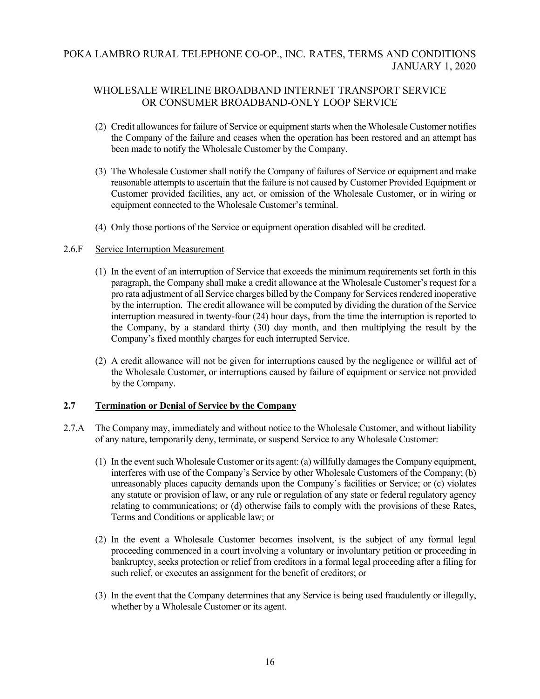# WHOLESALE WIRELINE BROADBAND INTERNET TRANSPORT SERVICE OR CONSUMER BROADBAND-ONLY LOOP SERVICE

- (2) Credit allowances for failure of Service or equipment starts when the Wholesale Customer notifies the Company of the failure and ceases when the operation has been restored and an attempt has been made to notify the Wholesale Customer by the Company.
- (3) The Wholesale Customer shall notify the Company of failures of Service or equipment and make reasonable attempts to ascertain that the failure is not caused by Customer Provided Equipment or Customer provided facilities, any act, or omission of the Wholesale Customer, or in wiring or equipment connected to the Wholesale Customer's terminal.
- (4) Only those portions of the Service or equipment operation disabled will be credited.

#### 2.6.F Service Interruption Measurement

- (1) In the event of an interruption of Service that exceeds the minimum requirements set forth in this paragraph, the Company shall make a credit allowance at the Wholesale Customer's request for a pro rata adjustment of all Service charges billed by the Company for Services rendered inoperative by the interruption. The credit allowance will be computed by dividing the duration of the Service interruption measured in twenty-four (24) hour days, from the time the interruption is reported to the Company, by a standard thirty (30) day month, and then multiplying the result by the Company's fixed monthly charges for each interrupted Service.
- (2) A credit allowance will not be given for interruptions caused by the negligence or willful act of the Wholesale Customer, or interruptions caused by failure of equipment or service not provided by the Company.

## **2.7 Termination or Denial of Service by the Company**

- 2.7.A The Company may, immediately and without notice to the Wholesale Customer, and without liability of any nature, temporarily deny, terminate, or suspend Service to any Wholesale Customer:
	- (1) In the event such Wholesale Customer or its agent: (a) willfully damages the Company equipment, interferes with use of the Company's Service by other Wholesale Customers of the Company; (b) unreasonably places capacity demands upon the Company's facilities or Service; or (c) violates any statute or provision of law, or any rule or regulation of any state or federal regulatory agency relating to communications; or (d) otherwise fails to comply with the provisions of these Rates, Terms and Conditions or applicable law; or
	- (2) In the event a Wholesale Customer becomes insolvent, is the subject of any formal legal proceeding commenced in a court involving a voluntary or involuntary petition or proceeding in bankruptcy, seeks protection or relief from creditors in a formal legal proceeding after a filing for such relief, or executes an assignment for the benefit of creditors; or
	- (3) In the event that the Company determines that any Service is being used fraudulently or illegally, whether by a Wholesale Customer or its agent.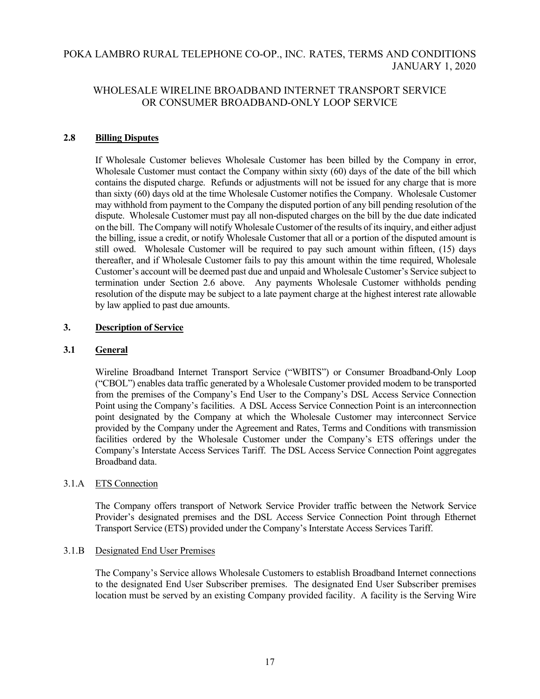# WHOLESALE WIRELINE BROADBAND INTERNET TRANSPORT SERVICE OR CONSUMER BROADBAND-ONLY LOOP SERVICE

## **2.8 Billing Disputes**

If Wholesale Customer believes Wholesale Customer has been billed by the Company in error, Wholesale Customer must contact the Company within sixty (60) days of the date of the bill which contains the disputed charge. Refunds or adjustments will not be issued for any charge that is more than sixty (60) days old at the time Wholesale Customer notifies the Company. Wholesale Customer may withhold from payment to the Company the disputed portion of any bill pending resolution of the dispute. Wholesale Customer must pay all non-disputed charges on the bill by the due date indicated on the bill. The Company will notify Wholesale Customer of the results of its inquiry, and either adjust the billing, issue a credit, or notify Wholesale Customer that all or a portion of the disputed amount is still owed. Wholesale Customer will be required to pay such amount within fifteen, (15) days thereafter, and if Wholesale Customer fails to pay this amount within the time required, Wholesale Customer's account will be deemed past due and unpaid and Wholesale Customer's Service subject to termination under Section 2.6 above. Any payments Wholesale Customer withholds pending resolution of the dispute may be subject to a late payment charge at the highest interest rate allowable by law applied to past due amounts.

## **3. Description of Service**

## **3.1 General**

Wireline Broadband Internet Transport Service ("WBITS") or Consumer Broadband-Only Loop ("CBOL") enables data traffic generated by a Wholesale Customer provided modem to be transported from the premises of the Company's End User to the Company's DSL Access Service Connection Point using the Company's facilities. A DSL Access Service Connection Point is an interconnection point designated by the Company at which the Wholesale Customer may interconnect Service provided by the Company under the Agreement and Rates, Terms and Conditions with transmission facilities ordered by the Wholesale Customer under the Company's ETS offerings under the Company's Interstate Access Services Tariff. The DSL Access Service Connection Point aggregates Broadband data.

## 3.1.A ETS Connection

The Company offers transport of Network Service Provider traffic between the Network Service Provider's designated premises and the DSL Access Service Connection Point through Ethernet Transport Service (ETS) provided under the Company's Interstate Access Services Tariff.

## 3.1.B Designated End User Premises

The Company's Service allows Wholesale Customers to establish Broadband Internet connections to the designated End User Subscriber premises. The designated End User Subscriber premises location must be served by an existing Company provided facility. A facility is the Serving Wire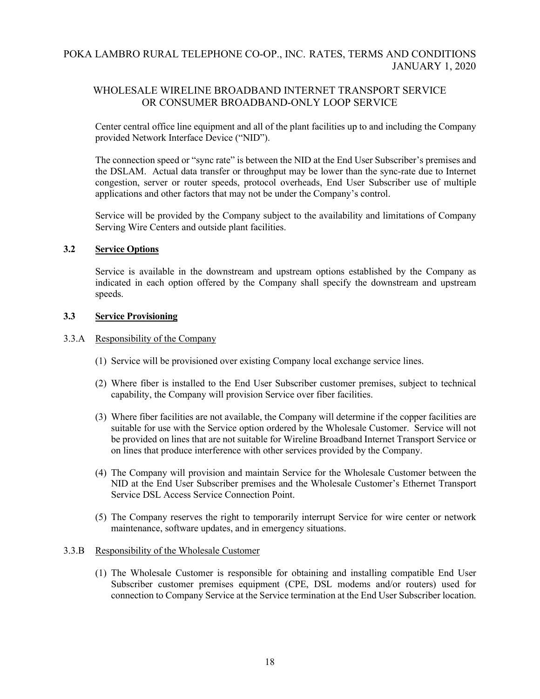## WHOLESALE WIRELINE BROADBAND INTERNET TRANSPORT SERVICE OR CONSUMER BROADBAND-ONLY LOOP SERVICE

Center central office line equipment and all of the plant facilities up to and including the Company provided Network Interface Device ("NID").

The connection speed or "sync rate" is between the NID at the End User Subscriber's premises and the DSLAM. Actual data transfer or throughput may be lower than the sync-rate due to Internet congestion, server or router speeds, protocol overheads, End User Subscriber use of multiple applications and other factors that may not be under the Company's control.

Service will be provided by the Company subject to the availability and limitations of Company Serving Wire Centers and outside plant facilities.

## **3.2 Service Options**

Service is available in the downstream and upstream options established by the Company as indicated in each option offered by the Company shall specify the downstream and upstream speeds.

#### **3.3 Service Provisioning**

#### 3.3.A Responsibility of the Company

- (1) Service will be provisioned over existing Company local exchange service lines.
- (2) Where fiber is installed to the End User Subscriber customer premises, subject to technical capability, the Company will provision Service over fiber facilities.
- (3) Where fiber facilities are not available, the Company will determine if the copper facilities are suitable for use with the Service option ordered by the Wholesale Customer. Service will not be provided on lines that are not suitable for Wireline Broadband Internet Transport Service or on lines that produce interference with other services provided by the Company.
- (4) The Company will provision and maintain Service for the Wholesale Customer between the NID at the End User Subscriber premises and the Wholesale Customer's Ethernet Transport Service DSL Access Service Connection Point.
- (5) The Company reserves the right to temporarily interrupt Service for wire center or network maintenance, software updates, and in emergency situations.

## 3.3.B Responsibility of the Wholesale Customer

(1) The Wholesale Customer is responsible for obtaining and installing compatible End User Subscriber customer premises equipment (CPE, DSL modems and/or routers) used for connection to Company Service at the Service termination at the End User Subscriber location.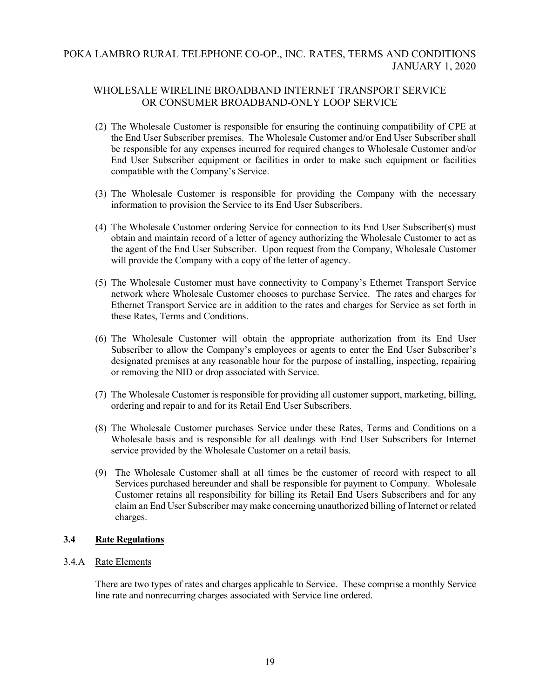# WHOLESALE WIRELINE BROADBAND INTERNET TRANSPORT SERVICE OR CONSUMER BROADBAND-ONLY LOOP SERVICE

- (2) The Wholesale Customer is responsible for ensuring the continuing compatibility of CPE at the End User Subscriber premises. The Wholesale Customer and/or End User Subscriber shall be responsible for any expenses incurred for required changes to Wholesale Customer and/or End User Subscriber equipment or facilities in order to make such equipment or facilities compatible with the Company's Service.
- (3) The Wholesale Customer is responsible for providing the Company with the necessary information to provision the Service to its End User Subscribers.
- (4) The Wholesale Customer ordering Service for connection to its End User Subscriber(s) must obtain and maintain record of a letter of agency authorizing the Wholesale Customer to act as the agent of the End User Subscriber. Upon request from the Company, Wholesale Customer will provide the Company with a copy of the letter of agency.
- (5) The Wholesale Customer must have connectivity to Company's Ethernet Transport Service network where Wholesale Customer chooses to purchase Service. The rates and charges for Ethernet Transport Service are in addition to the rates and charges for Service as set forth in these Rates, Terms and Conditions.
- (6) The Wholesale Customer will obtain the appropriate authorization from its End User Subscriber to allow the Company's employees or agents to enter the End User Subscriber's designated premises at any reasonable hour for the purpose of installing, inspecting, repairing or removing the NID or drop associated with Service.
- (7) The Wholesale Customer is responsible for providing all customer support, marketing, billing, ordering and repair to and for its Retail End User Subscribers.
- (8) The Wholesale Customer purchases Service under these Rates, Terms and Conditions on a Wholesale basis and is responsible for all dealings with End User Subscribers for Internet service provided by the Wholesale Customer on a retail basis.
- (9) The Wholesale Customer shall at all times be the customer of record with respect to all Services purchased hereunder and shall be responsible for payment to Company. Wholesale Customer retains all responsibility for billing its Retail End Users Subscribers and for any claim an End User Subscriber may make concerning unauthorized billing of Internet or related charges.

## **3.4 Rate Regulations**

#### 3.4.A Rate Elements

There are two types of rates and charges applicable to Service. These comprise a monthly Service line rate and nonrecurring charges associated with Service line ordered.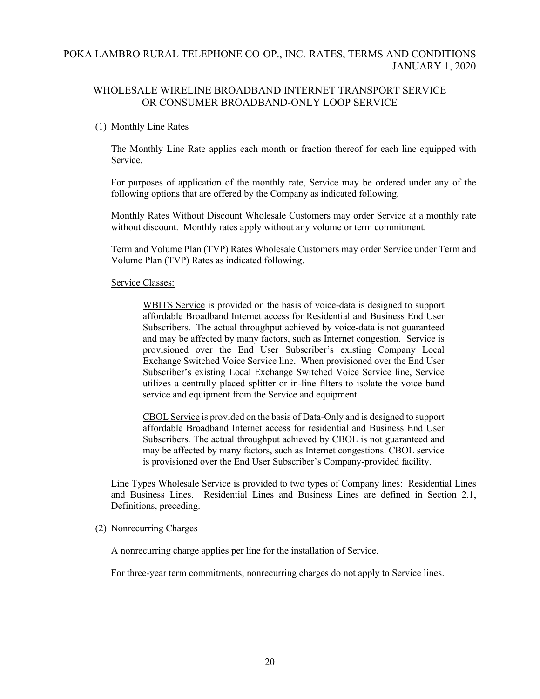## WHOLESALE WIRELINE BROADBAND INTERNET TRANSPORT SERVICE OR CONSUMER BROADBAND-ONLY LOOP SERVICE

## (1) Monthly Line Rates

The Monthly Line Rate applies each month or fraction thereof for each line equipped with Service.

For purposes of application of the monthly rate, Service may be ordered under any of the following options that are offered by the Company as indicated following.

Monthly Rates Without Discount Wholesale Customers may order Service at a monthly rate without discount. Monthly rates apply without any volume or term commitment.

Term and Volume Plan (TVP) Rates Wholesale Customers may order Service under Term and Volume Plan (TVP) Rates as indicated following.

#### Service Classes:

WBITS Service is provided on the basis of voice-data is designed to support affordable Broadband Internet access for Residential and Business End User Subscribers. The actual throughput achieved by voice-data is not guaranteed and may be affected by many factors, such as Internet congestion. Service is provisioned over the End User Subscriber's existing Company Local Exchange Switched Voice Service line. When provisioned over the End User Subscriber's existing Local Exchange Switched Voice Service line, Service utilizes a centrally placed splitter or in-line filters to isolate the voice band service and equipment from the Service and equipment.

CBOL Service is provided on the basis of Data-Only and is designed to support affordable Broadband Internet access for residential and Business End User Subscribers. The actual throughput achieved by CBOL is not guaranteed and may be affected by many factors, such as Internet congestions. CBOL service is provisioned over the End User Subscriber's Company-provided facility.

Line Types Wholesale Service is provided to two types of Company lines: Residential Lines and Business Lines. Residential Lines and Business Lines are defined in Section 2.1, Definitions, preceding.

#### (2) Nonrecurring Charges

A nonrecurring charge applies per line for the installation of Service.

For three-year term commitments, nonrecurring charges do not apply to Service lines.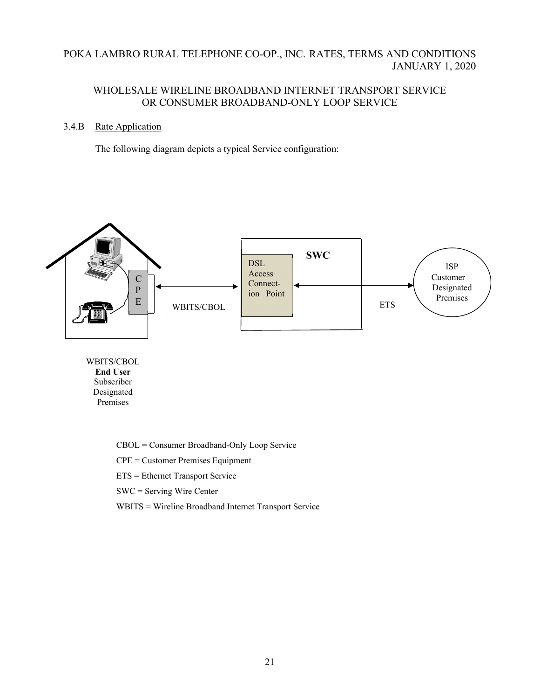## WHOLESALE WIRELINE BROADBAND INTERNET TRANSPORT SERVICE OR CONSUMER BROADBAND-ONLY LOOP SERVICE

#### 3.4.B Rate Application

The following diagram depicts a typical Service configuration:



WBITS/CBOL **End User** Subscriber Designated Premises

CBOL = Consumer Broadband-Only Loop Service

CPE = Customer Premises Equipment

ETS = Ethernet Transport Service

SWC = Serving Wire Center

WBITS = Wireline Broadband Internet Transport Service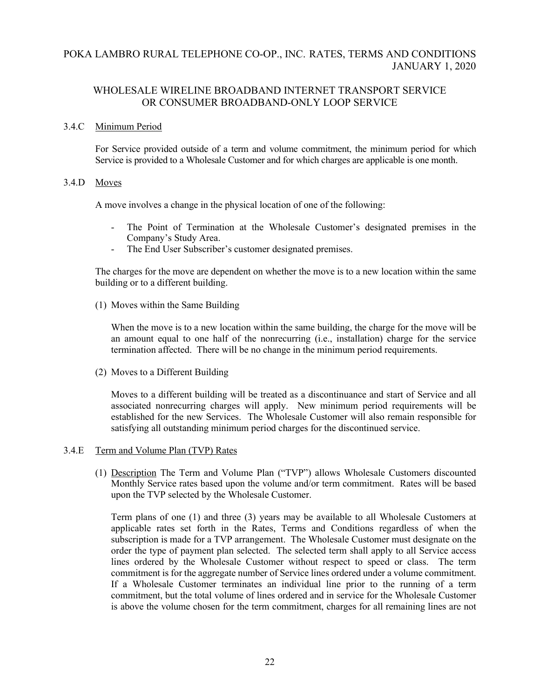## WHOLESALE WIRELINE BROADBAND INTERNET TRANSPORT SERVICE OR CONSUMER BROADBAND-ONLY LOOP SERVICE

## 3.4.C Minimum Period

For Service provided outside of a term and volume commitment, the minimum period for which Service is provided to a Wholesale Customer and for which charges are applicable is one month.

## 3.4.D Moves

A move involves a change in the physical location of one of the following:

- The Point of Termination at the Wholesale Customer's designated premises in the Company's Study Area.
- The End User Subscriber's customer designated premises.

The charges for the move are dependent on whether the move is to a new location within the same building or to a different building.

(1) Moves within the Same Building

When the move is to a new location within the same building, the charge for the move will be an amount equal to one half of the nonrecurring (i.e., installation) charge for the service termination affected. There will be no change in the minimum period requirements.

(2) Moves to a Different Building

Moves to a different building will be treated as a discontinuance and start of Service and all associated nonrecurring charges will apply. New minimum period requirements will be established for the new Services. The Wholesale Customer will also remain responsible for satisfying all outstanding minimum period charges for the discontinued service.

#### 3.4.E Term and Volume Plan (TVP) Rates

(1) Description The Term and Volume Plan ("TVP") allows Wholesale Customers discounted Monthly Service rates based upon the volume and/or term commitment. Rates will be based upon the TVP selected by the Wholesale Customer.

Term plans of one (1) and three (3) years may be available to all Wholesale Customers at applicable rates set forth in the Rates, Terms and Conditions regardless of when the subscription is made for a TVP arrangement. The Wholesale Customer must designate on the order the type of payment plan selected. The selected term shall apply to all Service access lines ordered by the Wholesale Customer without respect to speed or class. The term commitment is for the aggregate number of Service lines ordered under a volume commitment. If a Wholesale Customer terminates an individual line prior to the running of a term commitment, but the total volume of lines ordered and in service for the Wholesale Customer is above the volume chosen for the term commitment, charges for all remaining lines are not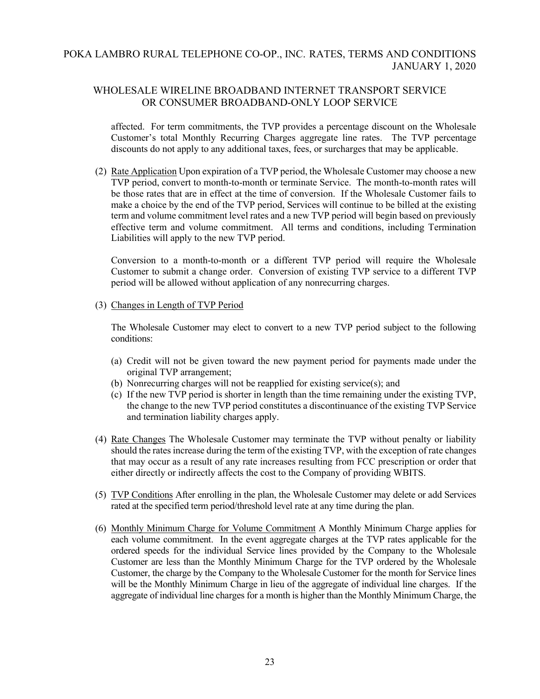## WHOLESALE WIRELINE BROADBAND INTERNET TRANSPORT SERVICE OR CONSUMER BROADBAND-ONLY LOOP SERVICE

affected. For term commitments, the TVP provides a percentage discount on the Wholesale Customer's total Monthly Recurring Charges aggregate line rates. The TVP percentage discounts do not apply to any additional taxes, fees, or surcharges that may be applicable.

(2) Rate Application Upon expiration of a TVP period, the Wholesale Customer may choose a new TVP period, convert to month-to-month or terminate Service. The month-to-month rates will be those rates that are in effect at the time of conversion. If the Wholesale Customer fails to make a choice by the end of the TVP period, Services will continue to be billed at the existing term and volume commitment level rates and a new TVP period will begin based on previously effective term and volume commitment. All terms and conditions, including Termination Liabilities will apply to the new TVP period.

Conversion to a month-to-month or a different TVP period will require the Wholesale Customer to submit a change order. Conversion of existing TVP service to a different TVP period will be allowed without application of any nonrecurring charges.

#### (3) Changes in Length of TVP Period

The Wholesale Customer may elect to convert to a new TVP period subject to the following conditions:

- (a) Credit will not be given toward the new payment period for payments made under the original TVP arrangement;
- (b) Nonrecurring charges will not be reapplied for existing service(s); and
- (c) If the new TVP period is shorter in length than the time remaining under the existing TVP, the change to the new TVP period constitutes a discontinuance of the existing TVP Service and termination liability charges apply.
- (4) Rate Changes The Wholesale Customer may terminate the TVP without penalty or liability should the rates increase during the term of the existing TVP, with the exception of rate changes that may occur as a result of any rate increases resulting from FCC prescription or order that either directly or indirectly affects the cost to the Company of providing WBITS.
- (5) TVP Conditions After enrolling in the plan, the Wholesale Customer may delete or add Services rated at the specified term period/threshold level rate at any time during the plan.
- (6) Monthly Minimum Charge for Volume Commitment A Monthly Minimum Charge applies for each volume commitment. In the event aggregate charges at the TVP rates applicable for the ordered speeds for the individual Service lines provided by the Company to the Wholesale Customer are less than the Monthly Minimum Charge for the TVP ordered by the Wholesale Customer, the charge by the Company to the Wholesale Customer for the month for Service lines will be the Monthly Minimum Charge in lieu of the aggregate of individual line charges. If the aggregate of individual line charges for a month is higher than the Monthly Minimum Charge, the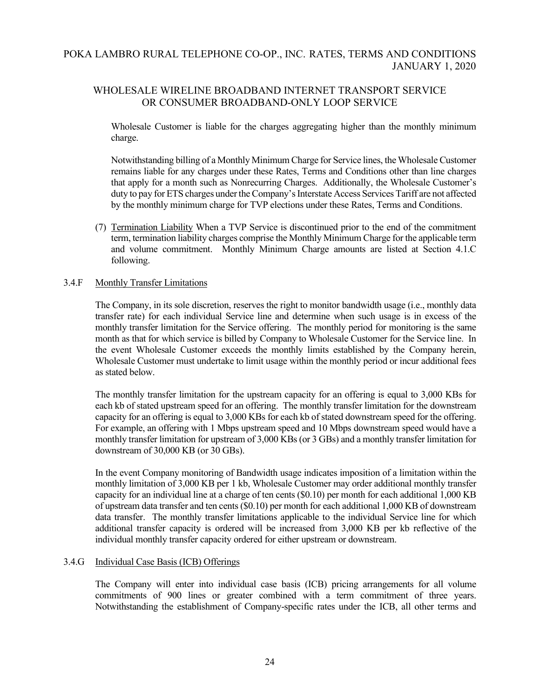## WHOLESALE WIRELINE BROADBAND INTERNET TRANSPORT SERVICE OR CONSUMER BROADBAND-ONLY LOOP SERVICE

Wholesale Customer is liable for the charges aggregating higher than the monthly minimum charge.

Notwithstanding billing of a Monthly Minimum Charge for Service lines, the Wholesale Customer remains liable for any charges under these Rates, Terms and Conditions other than line charges that apply for a month such as Nonrecurring Charges. Additionally, the Wholesale Customer's duty to pay for ETS charges under the Company's Interstate Access Services Tariff are not affected by the monthly minimum charge for TVP elections under these Rates, Terms and Conditions.

(7) Termination Liability When a TVP Service is discontinued prior to the end of the commitment term, termination liability charges comprise the Monthly Minimum Charge for the applicable term and volume commitment. Monthly Minimum Charge amounts are listed at Section 4.1.C following.

## 3.4.F Monthly Transfer Limitations

The Company, in its sole discretion, reserves the right to monitor bandwidth usage (i.e., monthly data transfer rate) for each individual Service line and determine when such usage is in excess of the monthly transfer limitation for the Service offering. The monthly period for monitoring is the same month as that for which service is billed by Company to Wholesale Customer for the Service line. In the event Wholesale Customer exceeds the monthly limits established by the Company herein, Wholesale Customer must undertake to limit usage within the monthly period or incur additional fees as stated below.

The monthly transfer limitation for the upstream capacity for an offering is equal to 3,000 KBs for each kb of stated upstream speed for an offering. The monthly transfer limitation for the downstream capacity for an offering is equal to 3,000 KBs for each kb of stated downstream speed for the offering. For example, an offering with 1 Mbps upstream speed and 10 Mbps downstream speed would have a monthly transfer limitation for upstream of 3,000 KBs (or 3 GBs) and a monthly transfer limitation for downstream of 30,000 KB (or 30 GBs).

In the event Company monitoring of Bandwidth usage indicates imposition of a limitation within the monthly limitation of 3,000 KB per 1 kb, Wholesale Customer may order additional monthly transfer capacity for an individual line at a charge of ten cents (\$0.10) per month for each additional 1,000 KB of upstream data transfer and ten cents (\$0.10) per month for each additional 1,000 KB of downstream data transfer. The monthly transfer limitations applicable to the individual Service line for which additional transfer capacity is ordered will be increased from 3,000 KB per kb reflective of the individual monthly transfer capacity ordered for either upstream or downstream.

## 3.4.G Individual Case Basis (ICB) Offerings

The Company will enter into individual case basis (ICB) pricing arrangements for all volume commitments of 900 lines or greater combined with a term commitment of three years. Notwithstanding the establishment of Company-specific rates under the ICB, all other terms and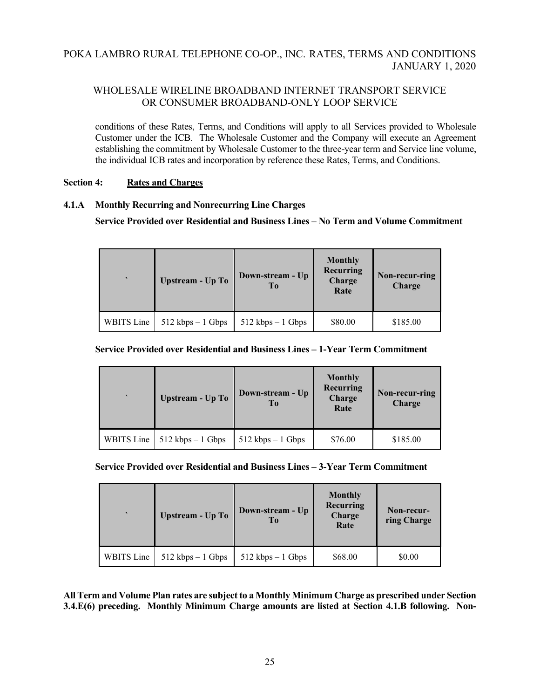# WHOLESALE WIRELINE BROADBAND INTERNET TRANSPORT SERVICE OR CONSUMER BROADBAND-ONLY LOOP SERVICE

conditions of these Rates, Terms, and Conditions will apply to all Services provided to Wholesale Customer under the ICB. The Wholesale Customer and the Company will execute an Agreement establishing the commitment by Wholesale Customer to the three-year term and Service line volume, the individual ICB rates and incorporation by reference these Rates, Terms, and Conditions.

## **Section 4: Rates and Charges**

## **4.1.A Monthly Recurring and Nonrecurring Line Charges**

**Service Provided over Residential and Business Lines – No Term and Volume Commitment**

| $\cdot$           | Upstream - Up To     | Down-stream - Up<br>T <sub>0</sub> | <b>Monthly</b><br><b>Recurring</b><br>Charge<br>Rate | Non-recur-ring<br><b>Charge</b> |
|-------------------|----------------------|------------------------------------|------------------------------------------------------|---------------------------------|
| <b>WBITS</b> Line | $512$ kbps $-1$ Gbps | $512$ kbps $-1$ Gbps               | \$80.00                                              | \$185.00                        |

## **Service Provided over Residential and Business Lines – 1-Year Term Commitment**

| $\cdot$    | Upstream - Up To     | Down-stream - Up<br>To | <b>Monthly</b><br>Recurring<br>Charge<br>Rate | Non-recur-ring<br>Charge |
|------------|----------------------|------------------------|-----------------------------------------------|--------------------------|
| WBITS Line | $512$ kbps $-1$ Gbps | $512$ kbps $-1$ Gbps   | \$76.00                                       | \$185.00                 |

## **Service Provided over Residential and Business Lines – 3-Year Term Commitment**

| $\cdot$    | Upstream - Up To     | Down-stream - Up<br>T <sub>0</sub> | <b>Monthly</b><br><b>Recurring</b><br>Charge<br>Rate | Non-recur-<br>ring Charge |
|------------|----------------------|------------------------------------|------------------------------------------------------|---------------------------|
| WBITS Line | $512$ kbps $-1$ Gbps | $512$ kbps $-1$ Gbps               | \$68.00                                              | \$0.00                    |

**All Term and Volume Plan rates are subject to a Monthly Minimum Charge as prescribed under Section 3.4.E(6) preceding. Monthly Minimum Charge amounts are listed at Section 4.1.B following. Non-**